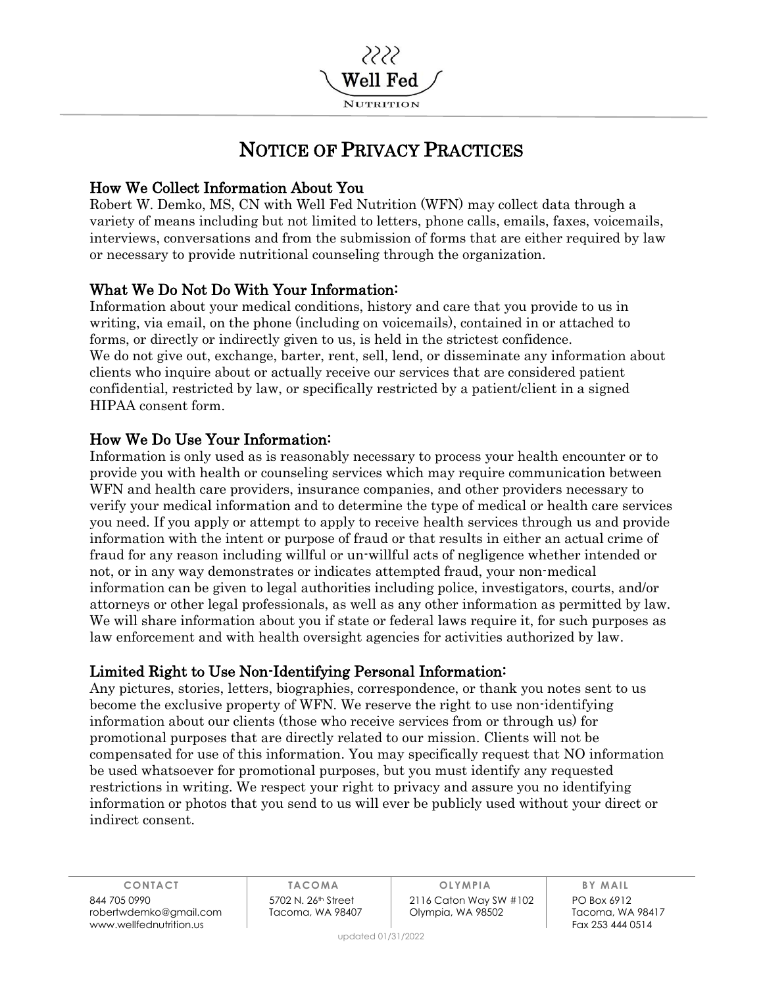

# NOTICE OF PRIVACY PRACTICES

# How We Collect Information About You

Robert W. Demko, MS, CN with Well Fed Nutrition (WFN) may collect data through a variety of means including but not limited to letters, phone calls, emails, faxes, voicemails, interviews, conversations and from the submission of forms that are either required by law or necessary to provide nutritional counseling through the organization.

# What We Do Not Do With Your Information:

Information about your medical conditions, history and care that you provide to us in writing, via email, on the phone (including on voicemails), contained in or attached to forms, or directly or indirectly given to us, is held in the strictest confidence. We do not give out, exchange, barter, rent, sell, lend, or disseminate any information about clients who inquire about or actually receive our services that are considered patient confidential, restricted by law, or specifically restricted by a patient/client in a signed HIPAA consent form.

# How We Do Use Your Information:

Information is only used as is reasonably necessary to process your health encounter or to provide you with health or counseling services which may require communication between WFN and health care providers, insurance companies, and other providers necessary to verify your medical information and to determine the type of medical or health care services you need. If you apply or attempt to apply to receive health services through us and provide information with the intent or purpose of fraud or that results in either an actual crime of fraud for any reason including willful or un-willful acts of negligence whether intended or not, or in any way demonstrates or indicates attempted fraud, your non-medical information can be given to legal authorities including police, investigators, courts, and/or attorneys or other legal professionals, as well as any other information as permitted by law. We will share information about you if state or federal laws require it, for such purposes as law enforcement and with health oversight agencies for activities authorized by law.

## Limited Right to Use Non-Identifying Personal Information:

Any pictures, stories, letters, biographies, correspondence, or thank you notes sent to us become the exclusive property of WFN. We reserve the right to use non-identifying information about our clients (those who receive services from or through us) for promotional purposes that are directly related to our mission. Clients will not be compensated for use of this information. You may specifically request that NO information be used whatsoever for promotional purposes, but you must identify any requested restrictions in writing. We respect your right to privacy and assure you no identifying information or photos that you send to us will ever be publicly used without your direct or indirect consent.

844 705 0990 5702 N. 26th Street 2116 Caton Way SW #102 PO Box 6912 robertwdemko@gmail.com Tacoma, WA 98407 Olympia, WA 98502 Tacoma, WA 98417 www.wellfednutrition.us

**CONTACT TACOMA OLYMPIA BY MAIL**

updated 01/31/2022